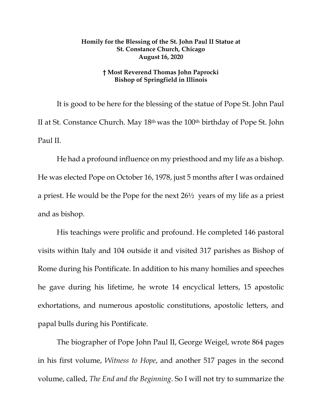## **Homily for the Blessing of the St. John Paul II Statue at St. Constance Church, Chicago August 16, 2020**

## **† Most Reverend Thomas John Paprocki Bishop of Springfield in Illinois**

It is good to be here for the blessing of the statue of Pope St. John Paul II at St. Constance Church. May 18th was the 100th birthday of Pope St. John Paul II.

He had a profound influence on my priesthood and my life as a bishop. He was elected Pope on October 16, 1978, just 5 months after I was ordained a priest. He would be the Pope for the next 26½ years of my life as a priest and as bishop.

His teachings were prolific and profound. He completed 146 pastoral visits within Italy and 104 outside it and visited 317 parishes as Bishop of Rome during his Pontificate. In addition to his many homilies and speeches he gave during his lifetime, he wrote 14 encyclical letters, 15 apostolic exhortations, and numerous apostolic constitutions, apostolic letters, and papal bulls during his Pontificate.

The biographer of Pope John Paul II, George Weigel, wrote 864 pages in his first volume, *Witness to Hope*, and another 517 pages in the second volume, called, *The End and the Beginning*. So I will not try to summarize the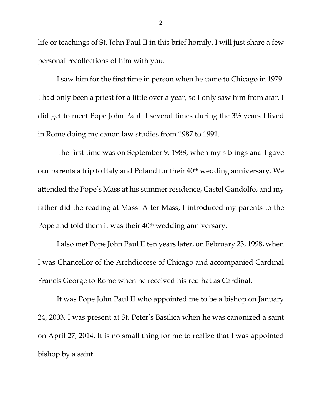life or teachings of St. John Paul II in this brief homily. I will just share a few personal recollections of him with you.

I saw him for the first time in person when he came to Chicago in 1979. I had only been a priest for a little over a year, so I only saw him from afar. I did get to meet Pope John Paul II several times during the 3½ years I lived in Rome doing my canon law studies from 1987 to 1991.

The first time was on September 9, 1988, when my siblings and I gave our parents a trip to Italy and Poland for their 40th wedding anniversary. We attended the Pope's Mass at his summer residence, Castel Gandolfo, and my father did the reading at Mass. After Mass, I introduced my parents to the Pope and told them it was their 40<sup>th</sup> wedding anniversary.

I also met Pope John Paul II ten years later, on February 23, 1998, when I was Chancellor of the Archdiocese of Chicago and accompanied Cardinal Francis George to Rome when he received his red hat as Cardinal.

It was Pope John Paul II who appointed me to be a bishop on January 24, 2003. I was present at St. Peter's Basilica when he was canonized a saint on April 27, 2014. It is no small thing for me to realize that I was appointed bishop by a saint!